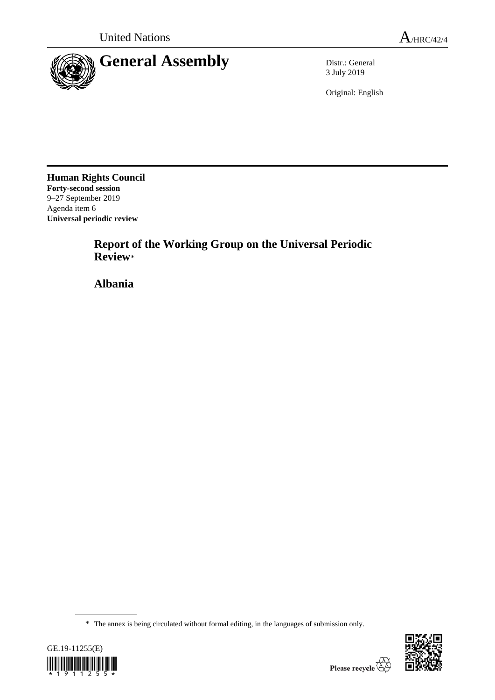

3 July 2019

Original: English

**Human Rights Council Forty-second session** 9–27 September 2019 Agenda item 6 **Universal periodic review**

> **Report of the Working Group on the Universal Periodic Review**\*

**Albania**

<sup>\*</sup> The annex is being circulated without formal editing, in the languages of submission only.



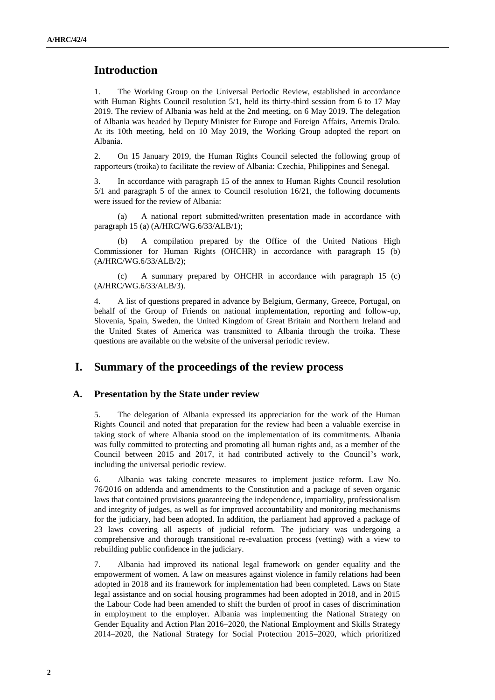# **Introduction**

1. The Working Group on the Universal Periodic Review, established in accordance with Human Rights Council resolution 5/1, held its thirty-third session from 6 to 17 May 2019. The review of Albania was held at the 2nd meeting, on 6 May 2019. The delegation of Albania was headed by Deputy Minister for Europe and Foreign Affairs, Artemis Dralo. At its 10th meeting, held on 10 May 2019, the Working Group adopted the report on Albania.

2. On 15 January 2019, the Human Rights Council selected the following group of rapporteurs (troika) to facilitate the review of Albania: Czechia, Philippines and Senegal.

3. In accordance with paragraph 15 of the annex to Human Rights Council resolution 5/1 and paragraph 5 of the annex to Council resolution 16/21, the following documents were issued for the review of Albania:

(a) A national report submitted/written presentation made in accordance with paragraph 15 (a) (A/HRC/WG.6/33/ALB/1);

(b) A compilation prepared by the Office of the United Nations High Commissioner for Human Rights (OHCHR) in accordance with paragraph 15 (b) (A/HRC/WG.6/33/ALB/2);

(c) A summary prepared by OHCHR in accordance with paragraph 15 (c) (A/HRC/WG.6/33/ALB/3).

4. A list of questions prepared in advance by Belgium, Germany, Greece, Portugal, on behalf of the Group of Friends on national implementation, reporting and follow-up, Slovenia, Spain, Sweden, the United Kingdom of Great Britain and Northern Ireland and the United States of America was transmitted to Albania through the troika. These questions are available on the website of the universal periodic review.

## **I. Summary of the proceedings of the review process**

#### **A. Presentation by the State under review**

5. The delegation of Albania expressed its appreciation for the work of the Human Rights Council and noted that preparation for the review had been a valuable exercise in taking stock of where Albania stood on the implementation of its commitments. Albania was fully committed to protecting and promoting all human rights and, as a member of the Council between 2015 and 2017, it had contributed actively to the Council's work, including the universal periodic review.

6. Albania was taking concrete measures to implement justice reform. Law No. 76/2016 on addenda and amendments to the Constitution and a package of seven organic laws that contained provisions guaranteeing the independence, impartiality, professionalism and integrity of judges, as well as for improved accountability and monitoring mechanisms for the judiciary, had been adopted. In addition, the parliament had approved a package of 23 laws covering all aspects of judicial reform. The judiciary was undergoing a comprehensive and thorough transitional re-evaluation process (vetting) with a view to rebuilding public confidence in the judiciary.

7. Albania had improved its national legal framework on gender equality and the empowerment of women. A law on measures against violence in family relations had been adopted in 2018 and its framework for implementation had been completed. Laws on State legal assistance and on social housing programmes had been adopted in 2018, and in 2015 the Labour Code had been amended to shift the burden of proof in cases of discrimination in employment to the employer. Albania was implementing the National Strategy on Gender Equality and Action Plan 2016–2020, the National Employment and Skills Strategy 2014–2020, the National Strategy for Social Protection 2015–2020, which prioritized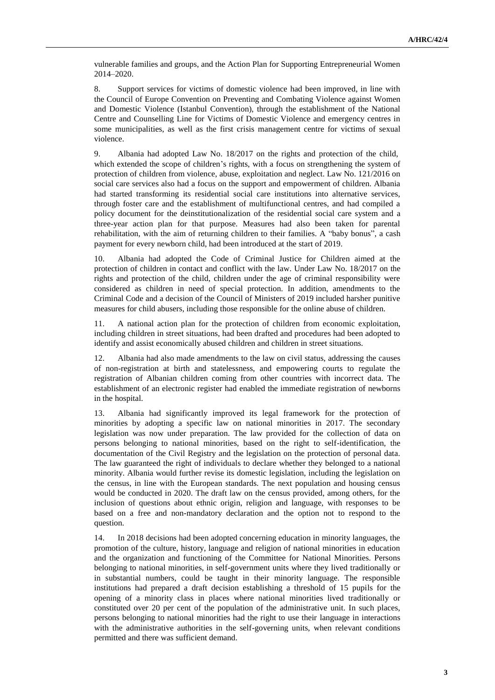vulnerable families and groups, and the Action Plan for Supporting Entrepreneurial Women 2014–2020.

8. Support services for victims of domestic violence had been improved, in line with the Council of Europe Convention on Preventing and Combating Violence against Women and Domestic Violence (Istanbul Convention), through the establishment of the National Centre and Counselling Line for Victims of Domestic Violence and emergency centres in some municipalities, as well as the first crisis management centre for victims of sexual violence.

9. Albania had adopted Law No. 18/2017 on the rights and protection of the child, which extended the scope of children's rights, with a focus on strengthening the system of protection of children from violence, abuse, exploitation and neglect. Law No. 121/2016 on social care services also had a focus on the support and empowerment of children. Albania had started transforming its residential social care institutions into alternative services, through foster care and the establishment of multifunctional centres, and had compiled a policy document for the deinstitutionalization of the residential social care system and a three-year action plan for that purpose. Measures had also been taken for parental rehabilitation, with the aim of returning children to their families. A "baby bonus", a cash payment for every newborn child, had been introduced at the start of 2019.

10. Albania had adopted the Code of Criminal Justice for Children aimed at the protection of children in contact and conflict with the law. Under Law No. 18/2017 on the rights and protection of the child, children under the age of criminal responsibility were considered as children in need of special protection. In addition, amendments to the Criminal Code and a decision of the Council of Ministers of 2019 included harsher punitive measures for child abusers, including those responsible for the online abuse of children.

11. A national action plan for the protection of children from economic exploitation, including children in street situations, had been drafted and procedures had been adopted to identify and assist economically abused children and children in street situations.

12. Albania had also made amendments to the law on civil status, addressing the causes of non-registration at birth and statelessness, and empowering courts to regulate the registration of Albanian children coming from other countries with incorrect data. The establishment of an electronic register had enabled the immediate registration of newborns in the hospital.

13. Albania had significantly improved its legal framework for the protection of minorities by adopting a specific law on national minorities in 2017. The secondary legislation was now under preparation. The law provided for the collection of data on persons belonging to national minorities, based on the right to self-identification, the documentation of the Civil Registry and the legislation on the protection of personal data. The law guaranteed the right of individuals to declare whether they belonged to a national minority. Albania would further revise its domestic legislation, including the legislation on the census, in line with the European standards. The next population and housing census would be conducted in 2020. The draft law on the census provided, among others, for the inclusion of questions about ethnic origin, religion and language, with responses to be based on a free and non-mandatory declaration and the option not to respond to the question.

14. In 2018 decisions had been adopted concerning education in minority languages, the promotion of the culture, history, language and religion of national minorities in education and the organization and functioning of the Committee for National Minorities. Persons belonging to national minorities, in self-government units where they lived traditionally or in substantial numbers, could be taught in their minority language. The responsible institutions had prepared a draft decision establishing a threshold of 15 pupils for the opening of a minority class in places where national minorities lived traditionally or constituted over 20 per cent of the population of the administrative unit. In such places, persons belonging to national minorities had the right to use their language in interactions with the administrative authorities in the self-governing units, when relevant conditions permitted and there was sufficient demand.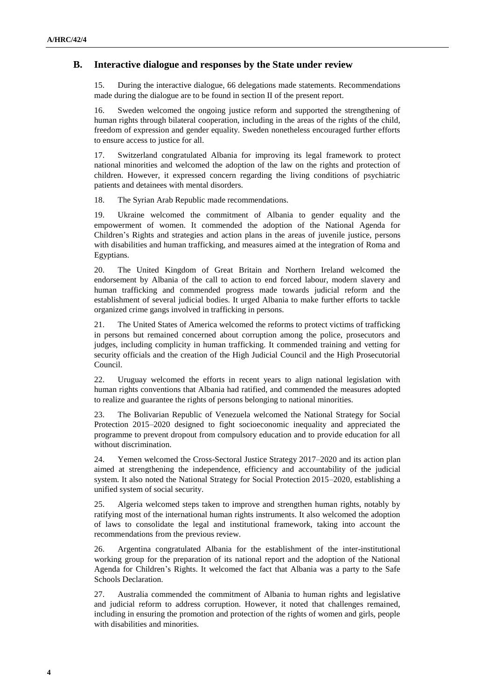#### **B. Interactive dialogue and responses by the State under review**

15. During the interactive dialogue, 66 delegations made statements. Recommendations made during the dialogue are to be found in section II of the present report.

16. Sweden welcomed the ongoing justice reform and supported the strengthening of human rights through bilateral cooperation, including in the areas of the rights of the child, freedom of expression and gender equality. Sweden nonetheless encouraged further efforts to ensure access to justice for all.

17. Switzerland congratulated Albania for improving its legal framework to protect national minorities and welcomed the adoption of the law on the rights and protection of children. However, it expressed concern regarding the living conditions of psychiatric patients and detainees with mental disorders.

18. The Syrian Arab Republic made recommendations.

19. Ukraine welcomed the commitment of Albania to gender equality and the empowerment of women. It commended the adoption of the National Agenda for Children's Rights and strategies and action plans in the areas of juvenile justice, persons with disabilities and human trafficking, and measures aimed at the integration of Roma and Egyptians.

20. The United Kingdom of Great Britain and Northern Ireland welcomed the endorsement by Albania of the call to action to end forced labour, modern slavery and human trafficking and commended progress made towards judicial reform and the establishment of several judicial bodies. It urged Albania to make further efforts to tackle organized crime gangs involved in trafficking in persons.

21. The United States of America welcomed the reforms to protect victims of trafficking in persons but remained concerned about corruption among the police, prosecutors and judges, including complicity in human trafficking. It commended training and vetting for security officials and the creation of the High Judicial Council and the High Prosecutorial Council.

22. Uruguay welcomed the efforts in recent years to align national legislation with human rights conventions that Albania had ratified, and commended the measures adopted to realize and guarantee the rights of persons belonging to national minorities.

23. The Bolivarian Republic of Venezuela welcomed the National Strategy for Social Protection 2015–2020 designed to fight socioeconomic inequality and appreciated the programme to prevent dropout from compulsory education and to provide education for all without discrimination.

24. Yemen welcomed the Cross-Sectoral Justice Strategy 2017–2020 and its action plan aimed at strengthening the independence, efficiency and accountability of the judicial system. It also noted the National Strategy for Social Protection 2015–2020, establishing a unified system of social security.

25. Algeria welcomed steps taken to improve and strengthen human rights, notably by ratifying most of the international human rights instruments. It also welcomed the adoption of laws to consolidate the legal and institutional framework, taking into account the recommendations from the previous review.

26. Argentina congratulated Albania for the establishment of the inter-institutional working group for the preparation of its national report and the adoption of the National Agenda for Children's Rights. It welcomed the fact that Albania was a party to the Safe Schools Declaration.

27. Australia commended the commitment of Albania to human rights and legislative and judicial reform to address corruption. However, it noted that challenges remained, including in ensuring the promotion and protection of the rights of women and girls, people with disabilities and minorities.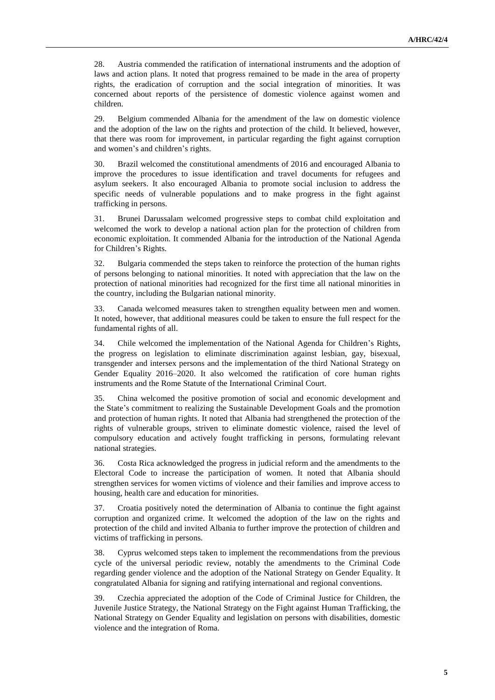28. Austria commended the ratification of international instruments and the adoption of laws and action plans. It noted that progress remained to be made in the area of property rights, the eradication of corruption and the social integration of minorities. It was concerned about reports of the persistence of domestic violence against women and children.

29. Belgium commended Albania for the amendment of the law on domestic violence and the adoption of the law on the rights and protection of the child. It believed, however, that there was room for improvement, in particular regarding the fight against corruption and women's and children's rights.

30. Brazil welcomed the constitutional amendments of 2016 and encouraged Albania to improve the procedures to issue identification and travel documents for refugees and asylum seekers. It also encouraged Albania to promote social inclusion to address the specific needs of vulnerable populations and to make progress in the fight against trafficking in persons.

31. Brunei Darussalam welcomed progressive steps to combat child exploitation and welcomed the work to develop a national action plan for the protection of children from economic exploitation. It commended Albania for the introduction of the National Agenda for Children's Rights.

32. Bulgaria commended the steps taken to reinforce the protection of the human rights of persons belonging to national minorities. It noted with appreciation that the law on the protection of national minorities had recognized for the first time all national minorities in the country, including the Bulgarian national minority.

33. Canada welcomed measures taken to strengthen equality between men and women. It noted, however, that additional measures could be taken to ensure the full respect for the fundamental rights of all.

34. Chile welcomed the implementation of the National Agenda for Children's Rights, the progress on legislation to eliminate discrimination against lesbian, gay, bisexual, transgender and intersex persons and the implementation of the third National Strategy on Gender Equality 2016–2020. It also welcomed the ratification of core human rights instruments and the Rome Statute of the International Criminal Court.

35. China welcomed the positive promotion of social and economic development and the State's commitment to realizing the Sustainable Development Goals and the promotion and protection of human rights. It noted that Albania had strengthened the protection of the rights of vulnerable groups, striven to eliminate domestic violence, raised the level of compulsory education and actively fought trafficking in persons, formulating relevant national strategies.

36. Costa Rica acknowledged the progress in judicial reform and the amendments to the Electoral Code to increase the participation of women. It noted that Albania should strengthen services for women victims of violence and their families and improve access to housing, health care and education for minorities.

37. Croatia positively noted the determination of Albania to continue the fight against corruption and organized crime. It welcomed the adoption of the law on the rights and protection of the child and invited Albania to further improve the protection of children and victims of trafficking in persons.

38. Cyprus welcomed steps taken to implement the recommendations from the previous cycle of the universal periodic review, notably the amendments to the Criminal Code regarding gender violence and the adoption of the National Strategy on Gender Equality. It congratulated Albania for signing and ratifying international and regional conventions.

39. Czechia appreciated the adoption of the Code of Criminal Justice for Children, the Juvenile Justice Strategy, the National Strategy on the Fight against Human Trafficking, the National Strategy on Gender Equality and legislation on persons with disabilities, domestic violence and the integration of Roma.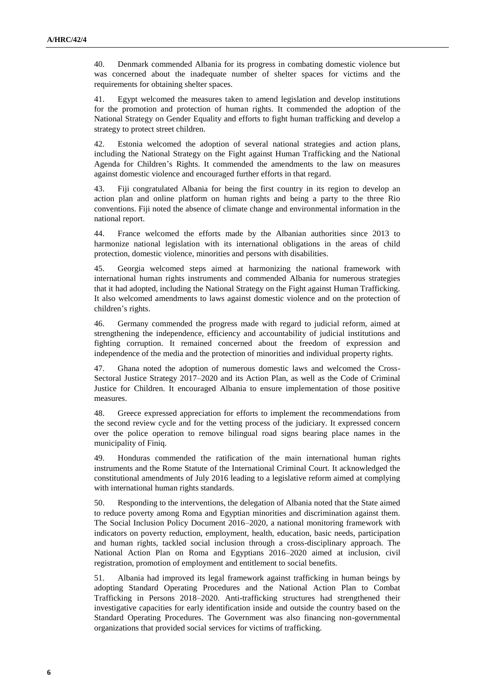40. Denmark commended Albania for its progress in combating domestic violence but was concerned about the inadequate number of shelter spaces for victims and the requirements for obtaining shelter spaces.

41. Egypt welcomed the measures taken to amend legislation and develop institutions for the promotion and protection of human rights. It commended the adoption of the National Strategy on Gender Equality and efforts to fight human trafficking and develop a strategy to protect street children.

42. Estonia welcomed the adoption of several national strategies and action plans, including the National Strategy on the Fight against Human Trafficking and the National Agenda for Children's Rights. It commended the amendments to the law on measures against domestic violence and encouraged further efforts in that regard.

43. Fiji congratulated Albania for being the first country in its region to develop an action plan and online platform on human rights and being a party to the three Rio conventions. Fiji noted the absence of climate change and environmental information in the national report.

44. France welcomed the efforts made by the Albanian authorities since 2013 to harmonize national legislation with its international obligations in the areas of child protection, domestic violence, minorities and persons with disabilities.

45. Georgia welcomed steps aimed at harmonizing the national framework with international human rights instruments and commended Albania for numerous strategies that it had adopted, including the National Strategy on the Fight against Human Trafficking. It also welcomed amendments to laws against domestic violence and on the protection of children's rights.

46. Germany commended the progress made with regard to judicial reform, aimed at strengthening the independence, efficiency and accountability of judicial institutions and fighting corruption. It remained concerned about the freedom of expression and independence of the media and the protection of minorities and individual property rights.

47. Ghana noted the adoption of numerous domestic laws and welcomed the Cross-Sectoral Justice Strategy 2017–2020 and its Action Plan, as well as the Code of Criminal Justice for Children. It encouraged Albania to ensure implementation of those positive measures.

48. Greece expressed appreciation for efforts to implement the recommendations from the second review cycle and for the vetting process of the judiciary. It expressed concern over the police operation to remove bilingual road signs bearing place names in the municipality of Finiq.

49. Honduras commended the ratification of the main international human rights instruments and the Rome Statute of the International Criminal Court. It acknowledged the constitutional amendments of July 2016 leading to a legislative reform aimed at complying with international human rights standards.

50. Responding to the interventions, the delegation of Albania noted that the State aimed to reduce poverty among Roma and Egyptian minorities and discrimination against them. The Social Inclusion Policy Document 2016–2020, a national monitoring framework with indicators on poverty reduction, employment, health, education, basic needs, participation and human rights, tackled social inclusion through a cross-disciplinary approach. The National Action Plan on Roma and Egyptians 2016–2020 aimed at inclusion, civil registration, promotion of employment and entitlement to social benefits.

51. Albania had improved its legal framework against trafficking in human beings by adopting Standard Operating Procedures and the National Action Plan to Combat Trafficking in Persons 2018–2020. Anti-trafficking structures had strengthened their investigative capacities for early identification inside and outside the country based on the Standard Operating Procedures. The Government was also financing non-governmental organizations that provided social services for victims of trafficking.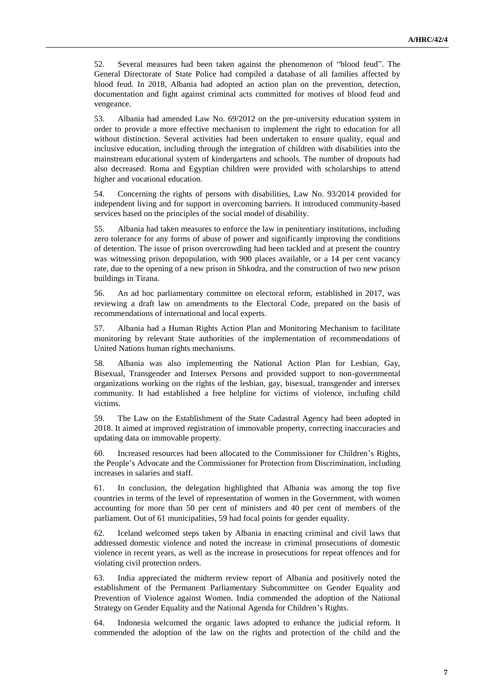52. Several measures had been taken against the phenomenon of "blood feud". The General Directorate of State Police had compiled a database of all families affected by blood feud. In 2018, Albania had adopted an action plan on the prevention, detection, documentation and fight against criminal acts committed for motives of blood feud and vengeance.

53. Albania had amended Law No. 69/2012 on the pre-university education system in order to provide a more effective mechanism to implement the right to education for all without distinction. Several activities had been undertaken to ensure quality, equal and inclusive education, including through the integration of children with disabilities into the mainstream educational system of kindergartens and schools. The number of dropouts had also decreased. Roma and Egyptian children were provided with scholarships to attend higher and vocational education.

54. Concerning the rights of persons with disabilities, Law No. 93/2014 provided for independent living and for support in overcoming barriers. It introduced community-based services based on the principles of the social model of disability.

55. Albania had taken measures to enforce the law in penitentiary institutions, including zero tolerance for any forms of abuse of power and significantly improving the conditions of detention. The issue of prison overcrowding had been tackled and at present the country was witnessing prison depopulation, with 900 places available, or a 14 per cent vacancy rate, due to the opening of a new prison in Shkodra, and the construction of two new prison buildings in Tirana.

56. An ad hoc parliamentary committee on electoral reform, established in 2017, was reviewing a draft law on amendments to the Electoral Code, prepared on the basis of recommendations of international and local experts.

57. Albania had a Human Rights Action Plan and Monitoring Mechanism to facilitate monitoring by relevant State authorities of the implementation of recommendations of United Nations human rights mechanisms.

58. Albania was also implementing the National Action Plan for Lesbian, Gay, Bisexual, Transgender and Intersex Persons and provided support to non-governmental organizations working on the rights of the lesbian, gay, bisexual, transgender and intersex community. It had established a free helpline for victims of violence, including child victims.

59. The Law on the Establishment of the State Cadastral Agency had been adopted in 2018. It aimed at improved registration of immovable property, correcting inaccuracies and updating data on immovable property.

60. Increased resources had been allocated to the Commissioner for Children's Rights, the People's Advocate and the Commissioner for Protection from Discrimination, including increases in salaries and staff.

61. In conclusion, the delegation highlighted that Albania was among the top five countries in terms of the level of representation of women in the Government, with women accounting for more than 50 per cent of ministers and 40 per cent of members of the parliament. Out of 61 municipalities, 59 had focal points for gender equality.

62. Iceland welcomed steps taken by Albania in enacting criminal and civil laws that addressed domestic violence and noted the increase in criminal prosecutions of domestic violence in recent years, as well as the increase in prosecutions for repeat offences and for violating civil protection orders.

63. India appreciated the midterm review report of Albania and positively noted the establishment of the Permanent Parliamentary Subcommittee on Gender Equality and Prevention of Violence against Women. India commended the adoption of the National Strategy on Gender Equality and the National Agenda for Children's Rights.

64. Indonesia welcomed the organic laws adopted to enhance the judicial reform. It commended the adoption of the law on the rights and protection of the child and the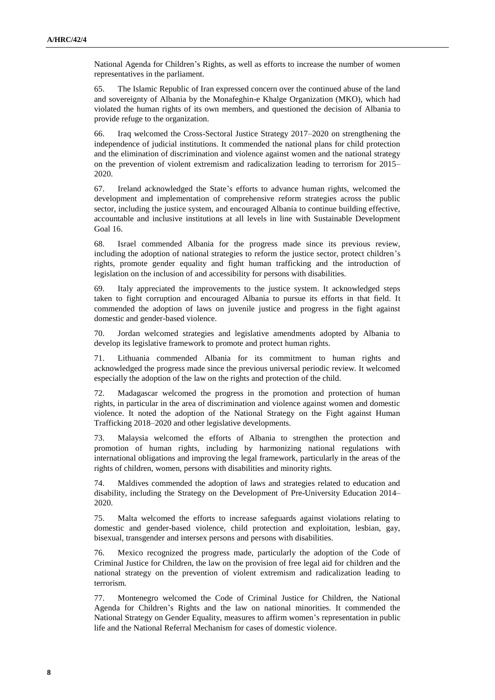National Agenda for Children's Rights, as well as efforts to increase the number of women representatives in the parliament.

65. The Islamic Republic of Iran expressed concern over the continued abuse of the land and sovereignty of Albania by the Monafeghin-e Khalge Organization (MKO), which had violated the human rights of its own members, and questioned the decision of Albania to provide refuge to the organization.

66. Iraq welcomed the Cross-Sectoral Justice Strategy 2017–2020 on strengthening the independence of judicial institutions. It commended the national plans for child protection and the elimination of discrimination and violence against women and the national strategy on the prevention of violent extremism and radicalization leading to terrorism for 2015– 2020.

67. Ireland acknowledged the State's efforts to advance human rights, welcomed the development and implementation of comprehensive reform strategies across the public sector, including the justice system, and encouraged Albania to continue building effective, accountable and inclusive institutions at all levels in line with Sustainable Development Goal 16.

68. Israel commended Albania for the progress made since its previous review, including the adoption of national strategies to reform the justice sector, protect children's rights, promote gender equality and fight human trafficking and the introduction of legislation on the inclusion of and accessibility for persons with disabilities.

69. Italy appreciated the improvements to the justice system. It acknowledged steps taken to fight corruption and encouraged Albania to pursue its efforts in that field. It commended the adoption of laws on juvenile justice and progress in the fight against domestic and gender-based violence.

70. Jordan welcomed strategies and legislative amendments adopted by Albania to develop its legislative framework to promote and protect human rights.

71. Lithuania commended Albania for its commitment to human rights and acknowledged the progress made since the previous universal periodic review. It welcomed especially the adoption of the law on the rights and protection of the child.

72. Madagascar welcomed the progress in the promotion and protection of human rights, in particular in the area of discrimination and violence against women and domestic violence. It noted the adoption of the National Strategy on the Fight against Human Trafficking 2018–2020 and other legislative developments.

73. Malaysia welcomed the efforts of Albania to strengthen the protection and promotion of human rights, including by harmonizing national regulations with international obligations and improving the legal framework, particularly in the areas of the rights of children, women, persons with disabilities and minority rights.

74. Maldives commended the adoption of laws and strategies related to education and disability, including the Strategy on the Development of Pre-University Education 2014– 2020.

75. Malta welcomed the efforts to increase safeguards against violations relating to domestic and gender-based violence, child protection and exploitation, lesbian, gay, bisexual, transgender and intersex persons and persons with disabilities.

76. Mexico recognized the progress made, particularly the adoption of the Code of Criminal Justice for Children, the law on the provision of free legal aid for children and the national strategy on the prevention of violent extremism and radicalization leading to terrorism.

77. Montenegro welcomed the Code of Criminal Justice for Children, the National Agenda for Children's Rights and the law on national minorities. It commended the National Strategy on Gender Equality, measures to affirm women's representation in public life and the National Referral Mechanism for cases of domestic violence.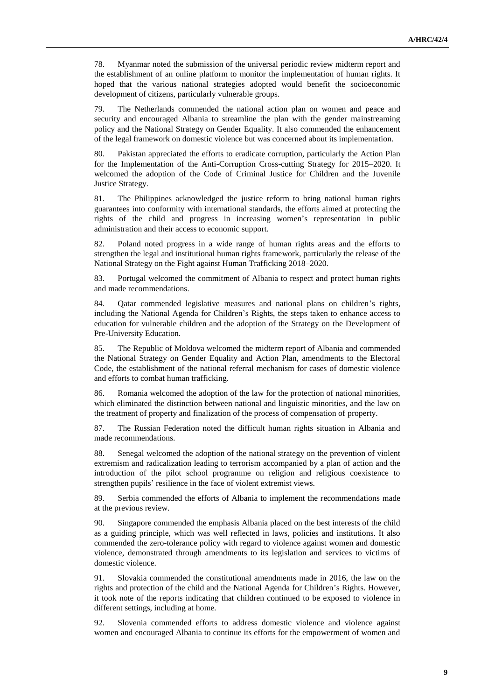78. Myanmar noted the submission of the universal periodic review midterm report and the establishment of an online platform to monitor the implementation of human rights. It hoped that the various national strategies adopted would benefit the socioeconomic development of citizens, particularly vulnerable groups.

79. The Netherlands commended the national action plan on women and peace and security and encouraged Albania to streamline the plan with the gender mainstreaming policy and the National Strategy on Gender Equality. It also commended the enhancement of the legal framework on domestic violence but was concerned about its implementation.

80. Pakistan appreciated the efforts to eradicate corruption, particularly the Action Plan for the Implementation of the Anti-Corruption Cross-cutting Strategy for 2015–2020. It welcomed the adoption of the Code of Criminal Justice for Children and the Juvenile Justice Strategy.

81. The Philippines acknowledged the justice reform to bring national human rights guarantees into conformity with international standards, the efforts aimed at protecting the rights of the child and progress in increasing women's representation in public administration and their access to economic support.

82. Poland noted progress in a wide range of human rights areas and the efforts to strengthen the legal and institutional human rights framework, particularly the release of the National Strategy on the Fight against Human Trafficking 2018–2020.

83. Portugal welcomed the commitment of Albania to respect and protect human rights and made recommendations.

84. Qatar commended legislative measures and national plans on children's rights, including the National Agenda for Children's Rights, the steps taken to enhance access to education for vulnerable children and the adoption of the Strategy on the Development of Pre-University Education.

85. The Republic of Moldova welcomed the midterm report of Albania and commended the National Strategy on Gender Equality and Action Plan, amendments to the Electoral Code, the establishment of the national referral mechanism for cases of domestic violence and efforts to combat human trafficking.

86. Romania welcomed the adoption of the law for the protection of national minorities, which eliminated the distinction between national and linguistic minorities, and the law on the treatment of property and finalization of the process of compensation of property.

87. The Russian Federation noted the difficult human rights situation in Albania and made recommendations.

88. Senegal welcomed the adoption of the national strategy on the prevention of violent extremism and radicalization leading to terrorism accompanied by a plan of action and the introduction of the pilot school programme on religion and religious coexistence to strengthen pupils' resilience in the face of violent extremist views.

89. Serbia commended the efforts of Albania to implement the recommendations made at the previous review.

90. Singapore commended the emphasis Albania placed on the best interests of the child as a guiding principle, which was well reflected in laws, policies and institutions. It also commended the zero-tolerance policy with regard to violence against women and domestic violence, demonstrated through amendments to its legislation and services to victims of domestic violence.

91. Slovakia commended the constitutional amendments made in 2016, the law on the rights and protection of the child and the National Agenda for Children's Rights. However, it took note of the reports indicating that children continued to be exposed to violence in different settings, including at home.

92. Slovenia commended efforts to address domestic violence and violence against women and encouraged Albania to continue its efforts for the empowerment of women and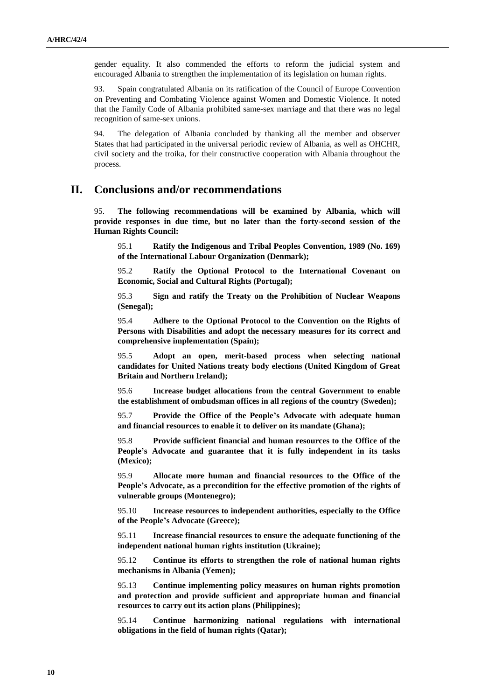gender equality. It also commended the efforts to reform the judicial system and encouraged Albania to strengthen the implementation of its legislation on human rights.

93. Spain congratulated Albania on its ratification of the Council of Europe Convention on Preventing and Combating Violence against Women and Domestic Violence. It noted that the Family Code of Albania prohibited same-sex marriage and that there was no legal recognition of same-sex unions.

94. The delegation of Albania concluded by thanking all the member and observer States that had participated in the universal periodic review of Albania, as well as OHCHR, civil society and the troika, for their constructive cooperation with Albania throughout the process.

### **II. Conclusions and/or recommendations**

95. **The following recommendations will be examined by Albania, which will provide responses in due time, but no later than the forty-second session of the Human Rights Council:**

95.1 **Ratify the Indigenous and Tribal Peoples Convention, 1989 (No. 169) of the International Labour Organization (Denmark);**

95.2 **Ratify the Optional Protocol to the International Covenant on Economic, Social and Cultural Rights (Portugal);**

95.3 **Sign and ratify the Treaty on the Prohibition of Nuclear Weapons (Senegal);**

95.4 **Adhere to the Optional Protocol to the Convention on the Rights of Persons with Disabilities and adopt the necessary measures for its correct and comprehensive implementation (Spain);**

95.5 **Adopt an open, merit-based process when selecting national candidates for United Nations treaty body elections (United Kingdom of Great Britain and Northern Ireland);**

95.6 **Increase budget allocations from the central Government to enable the establishment of ombudsman offices in all regions of the country (Sweden);**

95.7 **Provide the Office of the People's Advocate with adequate human and financial resources to enable it to deliver on its mandate (Ghana);**

95.8 **Provide sufficient financial and human resources to the Office of the People's Advocate and guarantee that it is fully independent in its tasks (Mexico);**

95.9 **Allocate more human and financial resources to the Office of the People's Advocate, as a precondition for the effective promotion of the rights of vulnerable groups (Montenegro);**

95.10 **Increase resources to independent authorities, especially to the Office of the People's Advocate (Greece);**

95.11 **Increase financial resources to ensure the adequate functioning of the independent national human rights institution (Ukraine);**

95.12 **Continue its efforts to strengthen the role of national human rights mechanisms in Albania (Yemen);**

95.13 **Continue implementing policy measures on human rights promotion and protection and provide sufficient and appropriate human and financial resources to carry out its action plans (Philippines);**

95.14 **Continue harmonizing national regulations with international obligations in the field of human rights (Qatar);**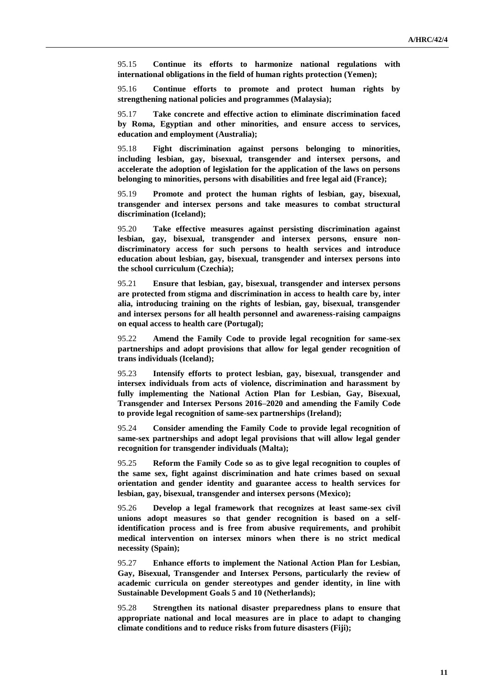95.15 **Continue its efforts to harmonize national regulations with international obligations in the field of human rights protection (Yemen);**

95.16 **Continue efforts to promote and protect human rights by strengthening national policies and programmes (Malaysia);**

95.17 **Take concrete and effective action to eliminate discrimination faced by Roma, Egyptian and other minorities, and ensure access to services, education and employment (Australia);**

95.18 **Fight discrimination against persons belonging to minorities, including lesbian, gay, bisexual, transgender and intersex persons, and accelerate the adoption of legislation for the application of the laws on persons belonging to minorities, persons with disabilities and free legal aid (France);**

95.19 **Promote and protect the human rights of lesbian, gay, bisexual, transgender and intersex persons and take measures to combat structural discrimination (Iceland);**

95.20 **Take effective measures against persisting discrimination against lesbian, gay, bisexual, transgender and intersex persons, ensure nondiscriminatory access for such persons to health services and introduce education about lesbian, gay, bisexual, transgender and intersex persons into the school curriculum (Czechia);**

95.21 **Ensure that lesbian, gay, bisexual, transgender and intersex persons are protected from stigma and discrimination in access to health care by, inter alia, introducing training on the rights of lesbian, gay, bisexual, transgender and intersex persons for all health personnel and awareness-raising campaigns on equal access to health care (Portugal);**

95.22 **Amend the Family Code to provide legal recognition for same-sex partnerships and adopt provisions that allow for legal gender recognition of trans individuals (Iceland);**

95.23 **Intensify efforts to protect lesbian, gay, bisexual, transgender and intersex individuals from acts of violence, discrimination and harassment by fully implementing the National Action Plan for Lesbian, Gay, Bisexual, Transgender and Intersex Persons 2016–2020 and amending the Family Code to provide legal recognition of same-sex partnerships (Ireland);**

95.24 **Consider amending the Family Code to provide legal recognition of same-sex partnerships and adopt legal provisions that will allow legal gender recognition for transgender individuals (Malta);**

95.25 **Reform the Family Code so as to give legal recognition to couples of the same sex, fight against discrimination and hate crimes based on sexual orientation and gender identity and guarantee access to health services for lesbian, gay, bisexual, transgender and intersex persons (Mexico);**

95.26 **Develop a legal framework that recognizes at least same-sex civil unions adopt measures so that gender recognition is based on a selfidentification process and is free from abusive requirements, and prohibit medical intervention on intersex minors when there is no strict medical necessity (Spain);**

95.27 **Enhance efforts to implement the National Action Plan for Lesbian, Gay, Bisexual, Transgender and Intersex Persons, particularly the review of academic curricula on gender stereotypes and gender identity, in line with Sustainable Development Goals 5 and 10 (Netherlands);**

95.28 **Strengthen its national disaster preparedness plans to ensure that appropriate national and local measures are in place to adapt to changing climate conditions and to reduce risks from future disasters (Fiji);**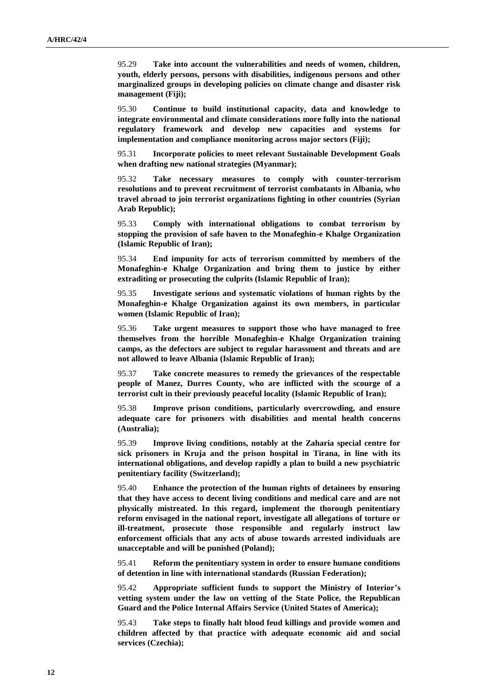95.29 **Take into account the vulnerabilities and needs of women, children, youth, elderly persons, persons with disabilities, indigenous persons and other marginalized groups in developing policies on climate change and disaster risk management (Fiji);**

95.30 **Continue to build institutional capacity, data and knowledge to integrate environmental and climate considerations more fully into the national regulatory framework and develop new capacities and systems for implementation and compliance monitoring across major sectors (Fiji);**

95.31 **Incorporate policies to meet relevant Sustainable Development Goals when drafting new national strategies (Myanmar);**

95.32 **Take necessary measures to comply with counter-terrorism resolutions and to prevent recruitment of terrorist combatants in Albania, who travel abroad to join terrorist organizations fighting in other countries (Syrian Arab Republic);**

95.33 **Comply with international obligations to combat terrorism by stopping the provision of safe haven to the Monafeghin-e Khalge Organization (Islamic Republic of Iran);**

95.34 **End impunity for acts of terrorism committed by members of the Monafeghin-e Khalge Organization and bring them to justice by either extraditing or prosecuting the culprits (Islamic Republic of Iran);**

95.35 **Investigate serious and systematic violations of human rights by the Monafeghin-e Khalge Organization against its own members, in particular women (Islamic Republic of Iran);**

95.36 **Take urgent measures to support those who have managed to free themselves from the horrible Monafeghin-e Khalge Organization training camps, as the defectors are subject to regular harassment and threats and are not allowed to leave Albania (Islamic Republic of Iran);**

95.37 **Take concrete measures to remedy the grievances of the respectable people of Manez, Durres County, who are inflicted with the scourge of a terrorist cult in their previously peaceful locality (Islamic Republic of Iran);**

95.38 **Improve prison conditions, particularly overcrowding, and ensure adequate care for prisoners with disabilities and mental health concerns (Australia);**

95.39 **Improve living conditions, notably at the Zaharia special centre for sick prisoners in Kruja and the prison hospital in Tirana, in line with its international obligations, and develop rapidly a plan to build a new psychiatric penitentiary facility (Switzerland);**

95.40 **Enhance the protection of the human rights of detainees by ensuring that they have access to decent living conditions and medical care and are not physically mistreated. In this regard, implement the thorough penitentiary reform envisaged in the national report, investigate all allegations of torture or ill-treatment, prosecute those responsible and regularly instruct law enforcement officials that any acts of abuse towards arrested individuals are unacceptable and will be punished (Poland);**

95.41 **Reform the penitentiary system in order to ensure humane conditions of detention in line with international standards (Russian Federation);**

95.42 **Appropriate sufficient funds to support the Ministry of Interior's vetting system under the law on vetting of the State Police, the Republican Guard and the Police Internal Affairs Service (United States of America);**

95.43 **Take steps to finally halt blood feud killings and provide women and children affected by that practice with adequate economic aid and social services (Czechia);**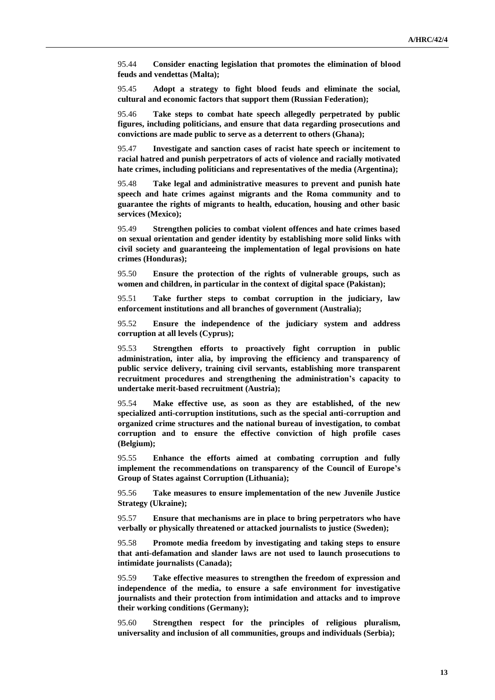95.44 **Consider enacting legislation that promotes the elimination of blood feuds and vendettas (Malta);** 

95.45 **Adopt a strategy to fight blood feuds and eliminate the social, cultural and economic factors that support them (Russian Federation);**

95.46 **Take steps to combat hate speech allegedly perpetrated by public figures, including politicians, and ensure that data regarding prosecutions and convictions are made public to serve as a deterrent to others (Ghana);**

95.47 **Investigate and sanction cases of racist hate speech or incitement to racial hatred and punish perpetrators of acts of violence and racially motivated hate crimes, including politicians and representatives of the media (Argentina);**

95.48 **Take legal and administrative measures to prevent and punish hate speech and hate crimes against migrants and the Roma community and to guarantee the rights of migrants to health, education, housing and other basic services (Mexico);**

95.49 **Strengthen policies to combat violent offences and hate crimes based on sexual orientation and gender identity by establishing more solid links with civil society and guaranteeing the implementation of legal provisions on hate crimes (Honduras);**

95.50 **Ensure the protection of the rights of vulnerable groups, such as women and children, in particular in the context of digital space (Pakistan);**

95.51 **Take further steps to combat corruption in the judiciary, law enforcement institutions and all branches of government (Australia);**

95.52 **Ensure the independence of the judiciary system and address corruption at all levels (Cyprus);**

95.53 **Strengthen efforts to proactively fight corruption in public administration, inter alia, by improving the efficiency and transparency of public service delivery, training civil servants, establishing more transparent recruitment procedures and strengthening the administration's capacity to undertake merit-based recruitment (Austria);**

95.54 **Make effective use, as soon as they are established, of the new specialized anti-corruption institutions, such as the special anti-corruption and organized crime structures and the national bureau of investigation, to combat corruption and to ensure the effective conviction of high profile cases (Belgium);**

95.55 **Enhance the efforts aimed at combating corruption and fully implement the recommendations on transparency of the Council of Europe's Group of States against Corruption (Lithuania);**

95.56 **Take measures to ensure implementation of the new Juvenile Justice Strategy (Ukraine);**

95.57 **Ensure that mechanisms are in place to bring perpetrators who have verbally or physically threatened or attacked journalists to justice (Sweden);**

95.58 **Promote media freedom by investigating and taking steps to ensure that anti-defamation and slander laws are not used to launch prosecutions to intimidate journalists (Canada);**

95.59 **Take effective measures to strengthen the freedom of expression and independence of the media, to ensure a safe environment for investigative journalists and their protection from intimidation and attacks and to improve their working conditions (Germany);**

95.60 **Strengthen respect for the principles of religious pluralism, universality and inclusion of all communities, groups and individuals (Serbia);**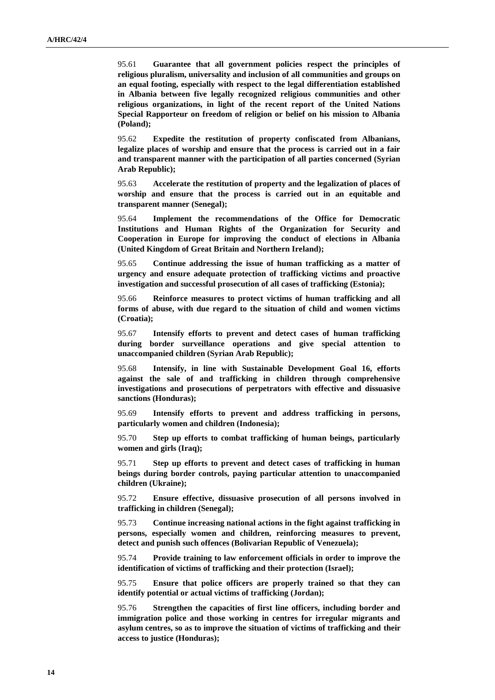95.61 **Guarantee that all government policies respect the principles of religious pluralism, universality and inclusion of all communities and groups on an equal footing, especially with respect to the legal differentiation established in Albania between five legally recognized religious communities and other religious organizations, in light of the recent report of the United Nations Special Rapporteur on freedom of religion or belief on his mission to Albania (Poland);**

95.62 **Expedite the restitution of property confiscated from Albanians, legalize places of worship and ensure that the process is carried out in a fair and transparent manner with the participation of all parties concerned (Syrian Arab Republic);**

95.63 **Accelerate the restitution of property and the legalization of places of worship and ensure that the process is carried out in an equitable and transparent manner (Senegal);**

95.64 **Implement the recommendations of the Office for Democratic Institutions and Human Rights of the Organization for Security and Cooperation in Europe for improving the conduct of elections in Albania (United Kingdom of Great Britain and Northern Ireland);**

95.65 **Continue addressing the issue of human trafficking as a matter of urgency and ensure adequate protection of trafficking victims and proactive investigation and successful prosecution of all cases of trafficking (Estonia);**

95.66 **Reinforce measures to protect victims of human trafficking and all forms of abuse, with due regard to the situation of child and women victims (Croatia);**

95.67 **Intensify efforts to prevent and detect cases of human trafficking during border surveillance operations and give special attention to unaccompanied children (Syrian Arab Republic);**

95.68 **Intensify, in line with Sustainable Development Goal 16, efforts against the sale of and trafficking in children through comprehensive investigations and prosecutions of perpetrators with effective and dissuasive sanctions (Honduras);**

95.69 **Intensify efforts to prevent and address trafficking in persons, particularly women and children (Indonesia);**

95.70 **Step up efforts to combat trafficking of human beings, particularly women and girls (Iraq);**

95.71 **Step up efforts to prevent and detect cases of trafficking in human beings during border controls, paying particular attention to unaccompanied children (Ukraine);**

95.72 **Ensure effective, dissuasive prosecution of all persons involved in trafficking in children (Senegal);**

95.73 **Continue increasing national actions in the fight against trafficking in persons, especially women and children, reinforcing measures to prevent, detect and punish such offences (Bolivarian Republic of Venezuela);**

95.74 **Provide training to law enforcement officials in order to improve the identification of victims of trafficking and their protection (Israel);**

95.75 **Ensure that police officers are properly trained so that they can identify potential or actual victims of trafficking (Jordan);**

95.76 **Strengthen the capacities of first line officers, including border and immigration police and those working in centres for irregular migrants and asylum centres, so as to improve the situation of victims of trafficking and their access to justice (Honduras);**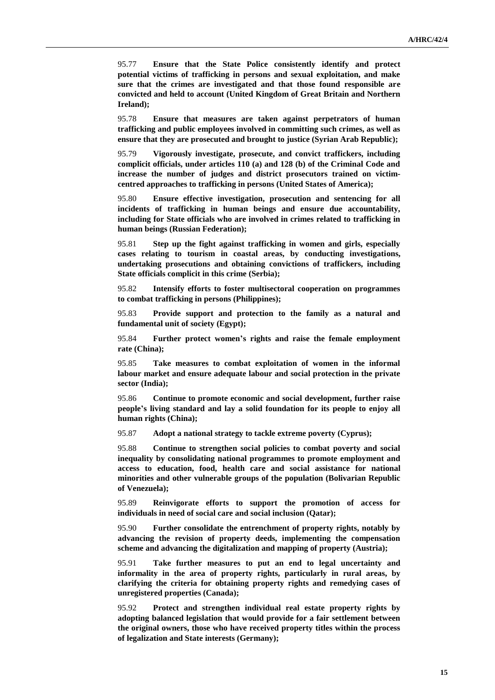95.77 **Ensure that the State Police consistently identify and protect potential victims of trafficking in persons and sexual exploitation, and make sure that the crimes are investigated and that those found responsible are convicted and held to account (United Kingdom of Great Britain and Northern Ireland);**

95.78 **Ensure that measures are taken against perpetrators of human trafficking and public employees involved in committing such crimes, as well as ensure that they are prosecuted and brought to justice (Syrian Arab Republic);**

95.79 **Vigorously investigate, prosecute, and convict traffickers, including complicit officials, under articles 110 (a) and 128 (b) of the Criminal Code and increase the number of judges and district prosecutors trained on victimcentred approaches to trafficking in persons (United States of America);**

95.80 **Ensure effective investigation, prosecution and sentencing for all incidents of trafficking in human beings and ensure due accountability, including for State officials who are involved in crimes related to trafficking in human beings (Russian Federation);**

95.81 **Step up the fight against trafficking in women and girls, especially cases relating to tourism in coastal areas, by conducting investigations, undertaking prosecutions and obtaining convictions of traffickers, including State officials complicit in this crime (Serbia);**

95.82 **Intensify efforts to foster multisectoral cooperation on programmes to combat trafficking in persons (Philippines);**

95.83 **Provide support and protection to the family as a natural and fundamental unit of society (Egypt);**

95.84 **Further protect women's rights and raise the female employment rate (China);**

95.85 **Take measures to combat exploitation of women in the informal labour market and ensure adequate labour and social protection in the private sector (India);**

95.86 **Continue to promote economic and social development, further raise people's living standard and lay a solid foundation for its people to enjoy all human rights (China);**

95.87 **Adopt a national strategy to tackle extreme poverty (Cyprus);**

95.88 **Continue to strengthen social policies to combat poverty and social inequality by consolidating national programmes to promote employment and access to education, food, health care and social assistance for national minorities and other vulnerable groups of the population (Bolivarian Republic of Venezuela);**

95.89 **Reinvigorate efforts to support the promotion of access for individuals in need of social care and social inclusion (Qatar);**

95.90 **Further consolidate the entrenchment of property rights, notably by advancing the revision of property deeds, implementing the compensation scheme and advancing the digitalization and mapping of property (Austria);**

95.91 **Take further measures to put an end to legal uncertainty and informality in the area of property rights, particularly in rural areas, by clarifying the criteria for obtaining property rights and remedying cases of unregistered properties (Canada);**

95.92 **Protect and strengthen individual real estate property rights by adopting balanced legislation that would provide for a fair settlement between the original owners, those who have received property titles within the process of legalization and State interests (Germany);**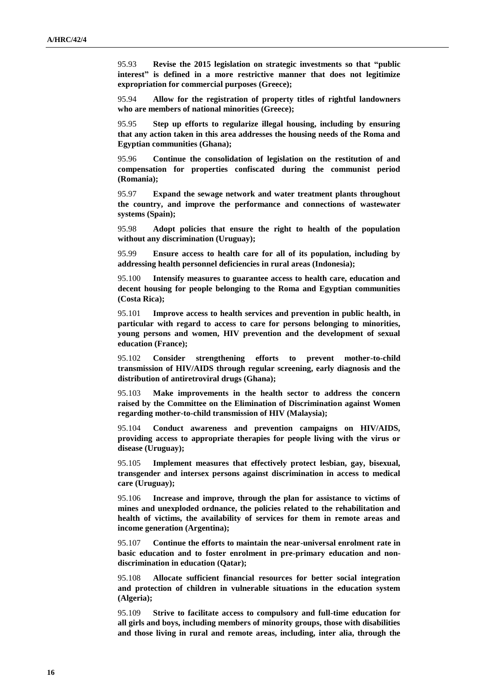95.93 **Revise the 2015 legislation on strategic investments so that "public interest" is defined in a more restrictive manner that does not legitimize expropriation for commercial purposes (Greece);**

95.94 **Allow for the registration of property titles of rightful landowners who are members of national minorities (Greece);**

95.95 **Step up efforts to regularize illegal housing, including by ensuring that any action taken in this area addresses the housing needs of the Roma and Egyptian communities (Ghana);**

95.96 **Continue the consolidation of legislation on the restitution of and compensation for properties confiscated during the communist period (Romania);**

95.97 **Expand the sewage network and water treatment plants throughout the country, and improve the performance and connections of wastewater systems (Spain);**

95.98 **Adopt policies that ensure the right to health of the population without any discrimination (Uruguay);**

95.99 **Ensure access to health care for all of its population, including by addressing health personnel deficiencies in rural areas (Indonesia);**

95.100 **Intensify measures to guarantee access to health care, education and decent housing for people belonging to the Roma and Egyptian communities (Costa Rica);**

95.101 **Improve access to health services and prevention in public health, in particular with regard to access to care for persons belonging to minorities, young persons and women, HIV prevention and the development of sexual education (France);**

95.102 **Consider strengthening efforts to prevent mother-to-child transmission of HIV/AIDS through regular screening, early diagnosis and the distribution of antiretroviral drugs (Ghana);**

95.103 **Make improvements in the health sector to address the concern raised by the Committee on the Elimination of Discrimination against Women regarding mother-to-child transmission of HIV (Malaysia);**

95.104 **Conduct awareness and prevention campaigns on HIV/AIDS, providing access to appropriate therapies for people living with the virus or disease (Uruguay);**

95.105 **Implement measures that effectively protect lesbian, gay, bisexual, transgender and intersex persons against discrimination in access to medical care (Uruguay);**

95.106 **Increase and improve, through the plan for assistance to victims of mines and unexploded ordnance, the policies related to the rehabilitation and health of victims, the availability of services for them in remote areas and income generation (Argentina);**

95.107 **Continue the efforts to maintain the near-universal enrolment rate in basic education and to foster enrolment in pre-primary education and nondiscrimination in education (Qatar);**

95.108 **Allocate sufficient financial resources for better social integration and protection of children in vulnerable situations in the education system (Algeria);**

95.109 **Strive to facilitate access to compulsory and full-time education for all girls and boys, including members of minority groups, those with disabilities and those living in rural and remote areas, including, inter alia, through the**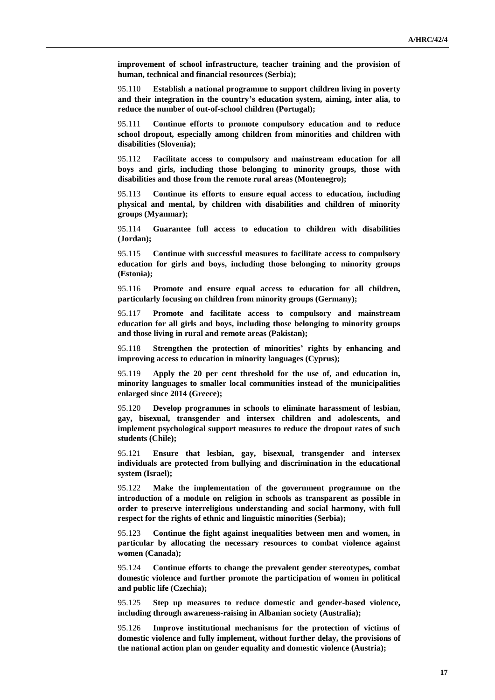**improvement of school infrastructure, teacher training and the provision of human, technical and financial resources (Serbia);**

95.110 **Establish a national programme to support children living in poverty and their integration in the country's education system, aiming, inter alia, to reduce the number of out-of-school children (Portugal);**

95.111 **Continue efforts to promote compulsory education and to reduce school dropout, especially among children from minorities and children with disabilities (Slovenia);**

95.112 **Facilitate access to compulsory and mainstream education for all boys and girls, including those belonging to minority groups, those with disabilities and those from the remote rural areas (Montenegro);**

95.113 **Continue its efforts to ensure equal access to education, including physical and mental, by children with disabilities and children of minority groups (Myanmar);**

95.114 **Guarantee full access to education to children with disabilities (Jordan);**

95.115 **Continue with successful measures to facilitate access to compulsory education for girls and boys, including those belonging to minority groups (Estonia);**

95.116 **Promote and ensure equal access to education for all children, particularly focusing on children from minority groups (Germany);**

95.117 **Promote and facilitate access to compulsory and mainstream education for all girls and boys, including those belonging to minority groups and those living in rural and remote areas (Pakistan);**

95.118 **Strengthen the protection of minorities' rights by enhancing and improving access to education in minority languages (Cyprus);**

95.119 **Apply the 20 per cent threshold for the use of, and education in, minority languages to smaller local communities instead of the municipalities enlarged since 2014 (Greece);**

95.120 **Develop programmes in schools to eliminate harassment of lesbian, gay, bisexual, transgender and intersex children and adolescents, and implement psychological support measures to reduce the dropout rates of such students (Chile);**

95.121 **Ensure that lesbian, gay, bisexual, transgender and intersex individuals are protected from bullying and discrimination in the educational system (Israel);**

95.122 **Make the implementation of the government programme on the introduction of a module on religion in schools as transparent as possible in order to preserve interreligious understanding and social harmony, with full respect for the rights of ethnic and linguistic minorities (Serbia);**

95.123 **Continue the fight against inequalities between men and women, in particular by allocating the necessary resources to combat violence against women (Canada);**

95.124 **Continue efforts to change the prevalent gender stereotypes, combat domestic violence and further promote the participation of women in political and public life (Czechia);**

95.125 **Step up measures to reduce domestic and gender-based violence, including through awareness-raising in Albanian society (Australia);**

95.126 **Improve institutional mechanisms for the protection of victims of domestic violence and fully implement, without further delay, the provisions of the national action plan on gender equality and domestic violence (Austria);**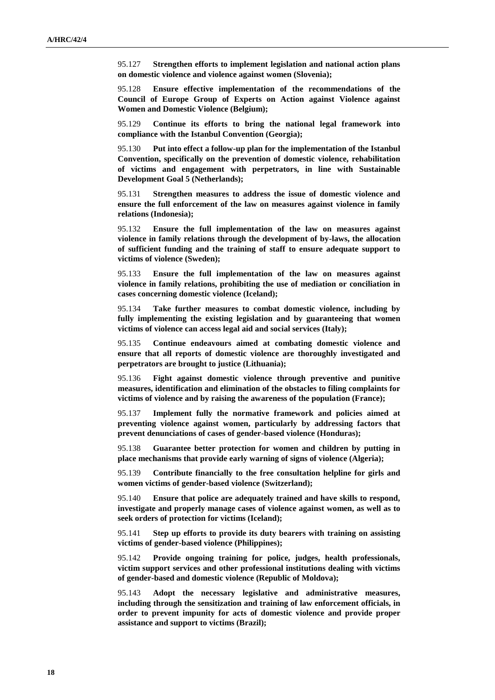95.127 **Strengthen efforts to implement legislation and national action plans on domestic violence and violence against women (Slovenia);**

95.128 **Ensure effective implementation of the recommendations of the Council of Europe Group of Experts on Action against Violence against Women and Domestic Violence (Belgium);**

95.129 **Continue its efforts to bring the national legal framework into compliance with the Istanbul Convention (Georgia);**

95.130 **Put into effect a follow-up plan for the implementation of the Istanbul Convention, specifically on the prevention of domestic violence, rehabilitation of victims and engagement with perpetrators, in line with Sustainable Development Goal 5 (Netherlands);**

95.131 **Strengthen measures to address the issue of domestic violence and ensure the full enforcement of the law on measures against violence in family relations (Indonesia);**

95.132 **Ensure the full implementation of the law on measures against violence in family relations through the development of by-laws, the allocation of sufficient funding and the training of staff to ensure adequate support to victims of violence (Sweden);**

95.133 **Ensure the full implementation of the law on measures against violence in family relations, prohibiting the use of mediation or conciliation in cases concerning domestic violence (Iceland);**

95.134 **Take further measures to combat domestic violence, including by fully implementing the existing legislation and by guaranteeing that women victims of violence can access legal aid and social services (Italy);**

95.135 **Continue endeavours aimed at combating domestic violence and ensure that all reports of domestic violence are thoroughly investigated and perpetrators are brought to justice (Lithuania);**

95.136 **Fight against domestic violence through preventive and punitive measures, identification and elimination of the obstacles to filing complaints for victims of violence and by raising the awareness of the population (France);**

95.137 **Implement fully the normative framework and policies aimed at preventing violence against women, particularly by addressing factors that prevent denunciations of cases of gender-based violence (Honduras);**

95.138 **Guarantee better protection for women and children by putting in place mechanisms that provide early warning of signs of violence (Algeria);**

95.139 **Contribute financially to the free consultation helpline for girls and women victims of gender-based violence (Switzerland);**

95.140 **Ensure that police are adequately trained and have skills to respond, investigate and properly manage cases of violence against women, as well as to seek orders of protection for victims (Iceland);**

95.141 **Step up efforts to provide its duty bearers with training on assisting victims of gender-based violence (Philippines);**

95.142 **Provide ongoing training for police, judges, health professionals, victim support services and other professional institutions dealing with victims of gender-based and domestic violence (Republic of Moldova);**

95.143 **Adopt the necessary legislative and administrative measures, including through the sensitization and training of law enforcement officials, in order to prevent impunity for acts of domestic violence and provide proper assistance and support to victims (Brazil);**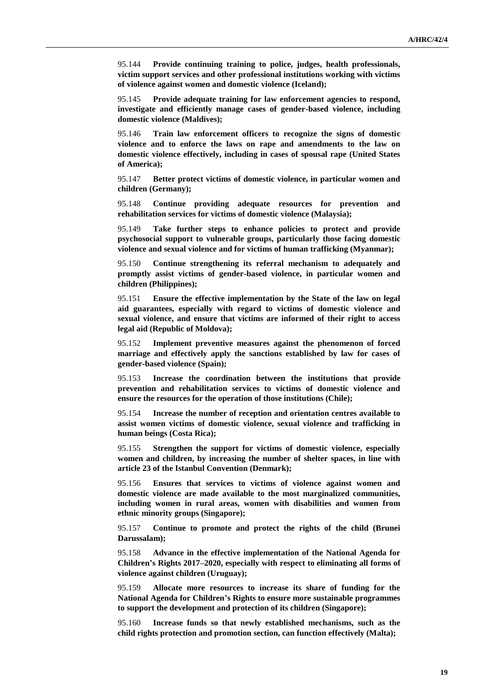95.144 **Provide continuing training to police, judges, health professionals, victim support services and other professional institutions working with victims of violence against women and domestic violence (Iceland);**

95.145 **Provide adequate training for law enforcement agencies to respond, investigate and efficiently manage cases of gender-based violence, including domestic violence (Maldives);**

95.146 **Train law enforcement officers to recognize the signs of domestic violence and to enforce the laws on rape and amendments to the law on domestic violence effectively, including in cases of spousal rape (United States of America);**

95.147 **Better protect victims of domestic violence, in particular women and children (Germany);**

95.148 **Continue providing adequate resources for prevention and rehabilitation services for victims of domestic violence (Malaysia);**

95.149 **Take further steps to enhance policies to protect and provide psychosocial support to vulnerable groups, particularly those facing domestic violence and sexual violence and for victims of human trafficking (Myanmar);**

95.150 **Continue strengthening its referral mechanism to adequately and promptly assist victims of gender-based violence, in particular women and children (Philippines);**

95.151 **Ensure the effective implementation by the State of the law on legal aid guarantees, especially with regard to victims of domestic violence and sexual violence, and ensure that victims are informed of their right to access legal aid (Republic of Moldova);**

95.152 **Implement preventive measures against the phenomenon of forced marriage and effectively apply the sanctions established by law for cases of gender-based violence (Spain);**

95.153 **Increase the coordination between the institutions that provide prevention and rehabilitation services to victims of domestic violence and ensure the resources for the operation of those institutions (Chile);**

95.154 **Increase the number of reception and orientation centres available to assist women victims of domestic violence, sexual violence and trafficking in human beings (Costa Rica);**

95.155 **Strengthen the support for victims of domestic violence, especially women and children, by increasing the number of shelter spaces, in line with article 23 of the Istanbul Convention (Denmark);**

95.156 **Ensures that services to victims of violence against women and domestic violence are made available to the most marginalized communities, including women in rural areas, women with disabilities and women from ethnic minority groups (Singapore);**

95.157 **Continue to promote and protect the rights of the child (Brunei Darussalam);**

95.158 **Advance in the effective implementation of the National Agenda for Children's Rights 2017–2020, especially with respect to eliminating all forms of violence against children (Uruguay);**

95.159 **Allocate more resources to increase its share of funding for the National Agenda for Children's Rights to ensure more sustainable programmes to support the development and protection of its children (Singapore);**

95.160 **Increase funds so that newly established mechanisms, such as the child rights protection and promotion section, can function effectively (Malta);**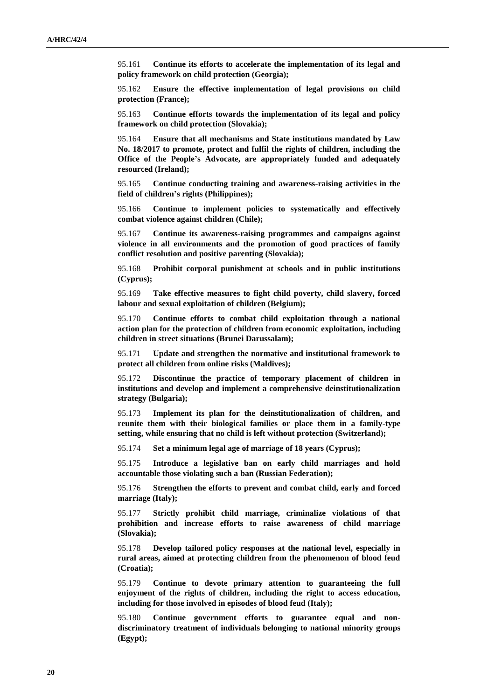95.161 **Continue its efforts to accelerate the implementation of its legal and policy framework on child protection (Georgia);**

95.162 **Ensure the effective implementation of legal provisions on child protection (France);**

95.163 **Continue efforts towards the implementation of its legal and policy framework on child protection (Slovakia);**

95.164 **Ensure that all mechanisms and State institutions mandated by Law No. 18/2017 to promote, protect and fulfil the rights of children, including the Office of the People's Advocate, are appropriately funded and adequately resourced (Ireland);**

95.165 **Continue conducting training and awareness-raising activities in the field of children's rights (Philippines);**

95.166 **Continue to implement policies to systematically and effectively combat violence against children (Chile);**

95.167 **Continue its awareness-raising programmes and campaigns against violence in all environments and the promotion of good practices of family conflict resolution and positive parenting (Slovakia);**

95.168 **Prohibit corporal punishment at schools and in public institutions (Cyprus);**

95.169 **Take effective measures to fight child poverty, child slavery, forced labour and sexual exploitation of children (Belgium);**

95.170 **Continue efforts to combat child exploitation through a national action plan for the protection of children from economic exploitation, including children in street situations (Brunei Darussalam);**

95.171 **Update and strengthen the normative and institutional framework to protect all children from online risks (Maldives);**

95.172 **Discontinue the practice of temporary placement of children in institutions and develop and implement a comprehensive deinstitutionalization strategy (Bulgaria);**

95.173 **Implement its plan for the deinstitutionalization of children, and reunite them with their biological families or place them in a family-type setting, while ensuring that no child is left without protection (Switzerland);**

95.174 **Set a minimum legal age of marriage of 18 years (Cyprus);**

95.175 **Introduce a legislative ban on early child marriages and hold accountable those violating such a ban (Russian Federation);**

95.176 **Strengthen the efforts to prevent and combat child, early and forced marriage (Italy);**

95.177 **Strictly prohibit child marriage, criminalize violations of that prohibition and increase efforts to raise awareness of child marriage (Slovakia);**

95.178 **Develop tailored policy responses at the national level, especially in rural areas, aimed at protecting children from the phenomenon of blood feud (Croatia);**

95.179 **Continue to devote primary attention to guaranteeing the full enjoyment of the rights of children, including the right to access education, including for those involved in episodes of blood feud (Italy);**

95.180 **Continue government efforts to guarantee equal and nondiscriminatory treatment of individuals belonging to national minority groups (Egypt);**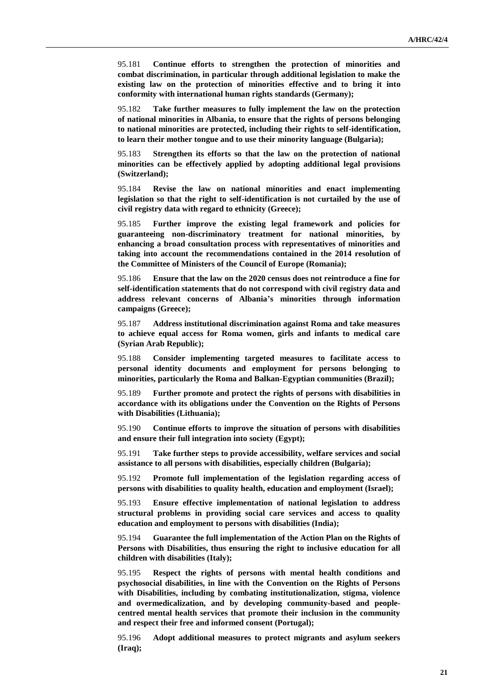95.181 **Continue efforts to strengthen the protection of minorities and combat discrimination, in particular through additional legislation to make the existing law on the protection of minorities effective and to bring it into conformity with international human rights standards (Germany);**

95.182 **Take further measures to fully implement the law on the protection of national minorities in Albania, to ensure that the rights of persons belonging to national minorities are protected, including their rights to self-identification, to learn their mother tongue and to use their minority language (Bulgaria);**

95.183 **Strengthen its efforts so that the law on the protection of national minorities can be effectively applied by adopting additional legal provisions (Switzerland);**

95.184 **Revise the law on national minorities and enact implementing legislation so that the right to self-identification is not curtailed by the use of civil registry data with regard to ethnicity (Greece);**

95.185 **Further improve the existing legal framework and policies for guaranteeing non-discriminatory treatment for national minorities, by enhancing a broad consultation process with representatives of minorities and taking into account the recommendations contained in the 2014 resolution of the Committee of Ministers of the Council of Europe (Romania);**

95.186 **Ensure that the law on the 2020 census does not reintroduce a fine for self-identification statements that do not correspond with civil registry data and address relevant concerns of Albania's minorities through information campaigns (Greece);**

95.187 **Address institutional discrimination against Roma and take measures to achieve equal access for Roma women, girls and infants to medical care (Syrian Arab Republic);**

95.188 **Consider implementing targeted measures to facilitate access to personal identity documents and employment for persons belonging to minorities, particularly the Roma and Balkan-Egyptian communities (Brazil);**

95.189 **Further promote and protect the rights of persons with disabilities in accordance with its obligations under the Convention on the Rights of Persons with Disabilities (Lithuania);**

95.190 **Continue efforts to improve the situation of persons with disabilities and ensure their full integration into society (Egypt);**

95.191 **Take further steps to provide accessibility, welfare services and social assistance to all persons with disabilities, especially children (Bulgaria);**

95.192 **Promote full implementation of the legislation regarding access of persons with disabilities to quality health, education and employment (Israel);**

95.193 **Ensure effective implementation of national legislation to address structural problems in providing social care services and access to quality education and employment to persons with disabilities (India);**

95.194 **Guarantee the full implementation of the Action Plan on the Rights of Persons with Disabilities, thus ensuring the right to inclusive education for all children with disabilities (Italy);**

95.195 **Respect the rights of persons with mental health conditions and psychosocial disabilities, in line with the Convention on the Rights of Persons with Disabilities, including by combating institutionalization, stigma, violence and overmedicalization, and by developing community-based and peoplecentred mental health services that promote their inclusion in the community and respect their free and informed consent (Portugal);**

95.196 **Adopt additional measures to protect migrants and asylum seekers (Iraq);**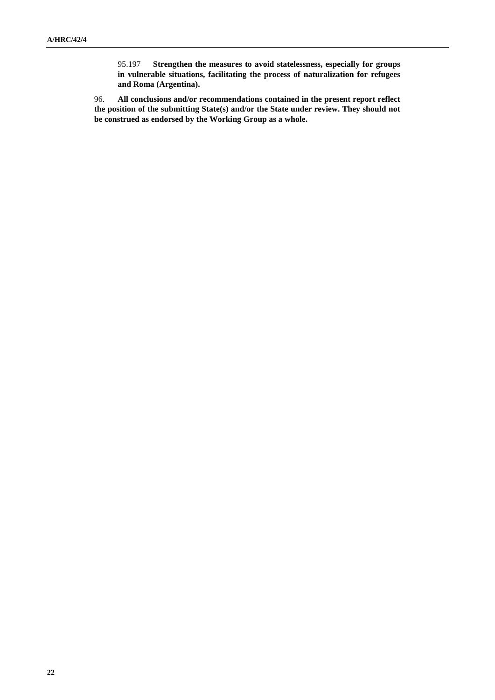95.197 **Strengthen the measures to avoid statelessness, especially for groups in vulnerable situations, facilitating the process of naturalization for refugees and Roma (Argentina).**

96. **All conclusions and/or recommendations contained in the present report reflect the position of the submitting State(s) and/or the State under review. They should not be construed as endorsed by the Working Group as a whole.**